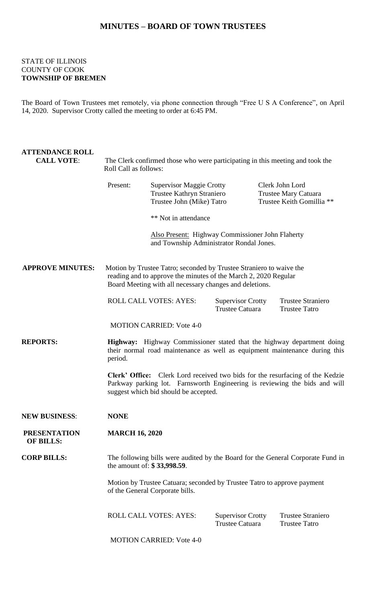## **MINUTES – BOARD OF TOWN TRUSTEES**

## STATE OF ILLINOIS COUNTY OF COOK **TOWNSHIP OF BREMEN**

The Board of Town Trustees met remotely, via phone connection through "Free U S A Conference", on April 14, 2020. Supervisor Crotty called the meeting to order at 6:45 PM.

| <b>ATTENDANCE ROLL</b><br><b>CALL VOTE:</b> | The Clerk confirmed those who were participating in this meeting and took the<br>Roll Call as follows:                                                                                               |                                                                                                     |                                                    |  |                                                                      |  |
|---------------------------------------------|------------------------------------------------------------------------------------------------------------------------------------------------------------------------------------------------------|-----------------------------------------------------------------------------------------------------|----------------------------------------------------|--|----------------------------------------------------------------------|--|
|                                             | Present:                                                                                                                                                                                             | <b>Supervisor Maggie Crotty</b><br>Trustee Kathryn Straniero<br>Trustee John (Mike) Tatro           |                                                    |  | Clerk John Lord<br>Trustee Mary Catuara<br>Trustee Keith Gomillia ** |  |
|                                             |                                                                                                                                                                                                      | ** Not in attendance                                                                                |                                                    |  |                                                                      |  |
|                                             |                                                                                                                                                                                                      | <b>Also Present:</b> Highway Commissioner John Flaherty<br>and Township Administrator Rondal Jones. |                                                    |  |                                                                      |  |
| <b>APPROVE MINUTES:</b>                     | Motion by Trustee Tatro; seconded by Trustee Straniero to waive the<br>reading and to approve the minutes of the March 2, 2020 Regular<br>Board Meeting with all necessary changes and deletions.    |                                                                                                     |                                                    |  |                                                                      |  |
|                                             |                                                                                                                                                                                                      | <b>ROLL CALL VOTES: AYES:</b>                                                                       | <b>Supervisor Crotty</b><br><b>Trustee Catuara</b> |  | <b>Trustee Straniero</b><br><b>Trustee Tatro</b>                     |  |
|                                             |                                                                                                                                                                                                      | <b>MOTION CARRIED: Vote 4-0</b>                                                                     |                                                    |  |                                                                      |  |
| <b>REPORTS:</b>                             | Highway: Highway Commissioner stated that the highway department doing<br>their normal road maintenance as well as equipment maintenance during this<br>period.                                      |                                                                                                     |                                                    |  |                                                                      |  |
|                                             | Clerk' Office: Clerk Lord received two bids for the resurfacing of the Kedzie<br>Parkway parking lot. Farnsworth Engineering is reviewing the bids and will<br>suggest which bid should be accepted. |                                                                                                     |                                                    |  |                                                                      |  |
| <b>NEW BUSINESS:</b>                        | <b>NONE</b>                                                                                                                                                                                          |                                                                                                     |                                                    |  |                                                                      |  |
| <b>PRESENTATION</b><br><b>OF BILLS:</b>     | <b>MARCH 16, 2020</b>                                                                                                                                                                                |                                                                                                     |                                                    |  |                                                                      |  |
| <b>CORP BILLS:</b>                          | The following bills were audited by the Board for the General Corporate Fund in<br>the amount of: \$33,998.59.                                                                                       |                                                                                                     |                                                    |  |                                                                      |  |
|                                             | Motion by Trustee Catuara; seconded by Trustee Tatro to approve payment<br>of the General Corporate bills.                                                                                           |                                                                                                     |                                                    |  |                                                                      |  |
|                                             |                                                                                                                                                                                                      | <b>ROLL CALL VOTES: AYES:</b>                                                                       | <b>Supervisor Crotty</b><br><b>Trustee Catuara</b> |  | <b>Trustee Straniero</b><br><b>Trustee Tatro</b>                     |  |

MOTION CARRIED: Vote 4-0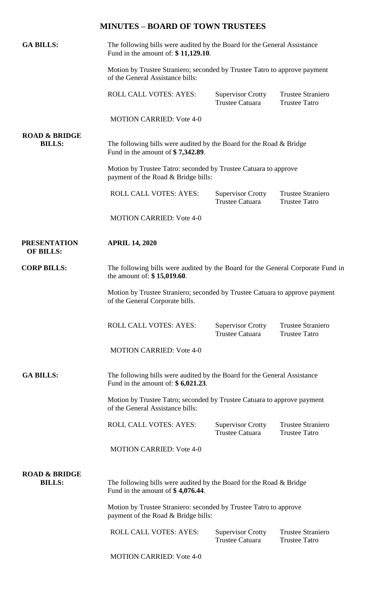## **MINUTES – BOARD OF TOWN TRUSTEES**

| <b>GA BILLS:</b>                          | The following bills were audited by the Board for the General Assistance<br>Fund in the amount of: \$11,129.10.<br>Motion by Trustee Straniero; seconded by Trustee Tatro to approve payment<br>of the General Assistance bills: |                                                    |                                                  |  |  |
|-------------------------------------------|----------------------------------------------------------------------------------------------------------------------------------------------------------------------------------------------------------------------------------|----------------------------------------------------|--------------------------------------------------|--|--|
|                                           |                                                                                                                                                                                                                                  |                                                    |                                                  |  |  |
|                                           | ROLL CALL VOTES: AYES:                                                                                                                                                                                                           | <b>Supervisor Crotty</b><br><b>Trustee Catuara</b> | <b>Trustee Straniero</b><br><b>Trustee Tatro</b> |  |  |
|                                           | <b>MOTION CARRIED: Vote 4-0</b>                                                                                                                                                                                                  |                                                    |                                                  |  |  |
| <b>ROAD &amp; BRIDGE</b><br><b>BILLS:</b> | The following bills were audited by the Board for the Road & Bridge<br>Fund in the amount of $$7,342.89$ .                                                                                                                       |                                                    |                                                  |  |  |
|                                           | Motion by Trustee Tatro: seconded by Trustee Catuara to approve<br>payment of the Road & Bridge bills:                                                                                                                           |                                                    |                                                  |  |  |
|                                           | <b>ROLL CALL VOTES: AYES:</b>                                                                                                                                                                                                    | <b>Supervisor Crotty</b><br><b>Trustee Catuara</b> | <b>Trustee Straniero</b><br><b>Trustee Tatro</b> |  |  |
|                                           | <b>MOTION CARRIED: Vote 4-0</b>                                                                                                                                                                                                  |                                                    |                                                  |  |  |
| <b>PRESENTATION</b><br><b>OF BILLS:</b>   | <b>APRIL 14, 2020</b>                                                                                                                                                                                                            |                                                    |                                                  |  |  |
| <b>CORP BILLS:</b>                        | The following bills were audited by the Board for the General Corporate Fund in<br>the amount of: $$15,019.60$ .                                                                                                                 |                                                    |                                                  |  |  |
|                                           | Motion by Trustee Straniero; seconded by Trustee Catuara to approve payment<br>of the General Corporate bills.                                                                                                                   |                                                    |                                                  |  |  |
|                                           | <b>ROLL CALL VOTES: AYES:</b>                                                                                                                                                                                                    | <b>Supervisor Crotty</b><br><b>Trustee Catuara</b> | <b>Trustee Straniero</b><br><b>Trustee Tatro</b> |  |  |
|                                           | <b>MOTION CARRIED: Vote 4-0</b>                                                                                                                                                                                                  |                                                    |                                                  |  |  |
| <b>GA BILLS:</b>                          | The following bills were audited by the Board for the General Assistance<br>Fund in the amount of: $$6,021.23$ .                                                                                                                 |                                                    |                                                  |  |  |
|                                           | Motion by Trustee Tatro; seconded by Trustee Catuara to approve payment<br>of the General Assistance bills:                                                                                                                      |                                                    |                                                  |  |  |
|                                           | <b>ROLL CALL VOTES: AYES:</b>                                                                                                                                                                                                    | <b>Supervisor Crotty</b><br><b>Trustee Catuara</b> | <b>Trustee Straniero</b><br><b>Trustee Tatro</b> |  |  |
|                                           | <b>MOTION CARRIED: Vote 4-0</b>                                                                                                                                                                                                  |                                                    |                                                  |  |  |
| <b>ROAD &amp; BRIDGE</b><br><b>BILLS:</b> | The following bills were audited by the Board for the Road & Bridge<br>Fund in the amount of $$4,076.44$ .                                                                                                                       |                                                    |                                                  |  |  |
|                                           | Motion by Trustee Straniero: seconded by Trustee Tatro to approve<br>payment of the Road & Bridge bills:                                                                                                                         |                                                    |                                                  |  |  |
|                                           |                                                                                                                                                                                                                                  |                                                    |                                                  |  |  |

MOTION CARRIED: Vote 4-0